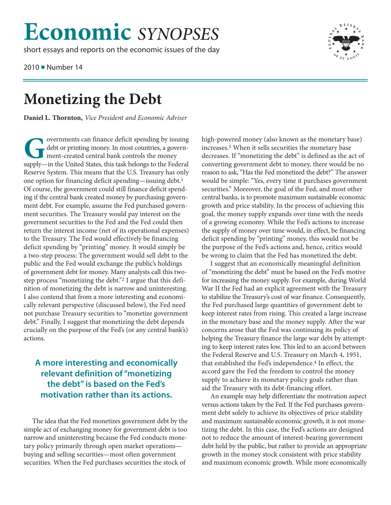## **Economic** *SYNOPSES*

short essays and reports on the economic issues of the day

2010 ■ Number 14



**Monet Conventional Conventional Debt**<br>Daniel L. Thornton, Vice President and Economi **Daniel L. Thornton,** *Vice President and Economic Adviser*

**Governments can finance deficit spending by issuing debt or printing money. In most countries, a government-created central bank controls the money supply—in the United States, this task belongs to the Federal Reserve Sys** debt or printing money. In most countries, a government-created central bank controls the money supply—in the United States, this task belongs to the Federal Reserve System. This means that the U.S. Treasury has only one option for financing deficit spending—issuing debt.1 Of course, the government could still finance deficit spending if the central bank created money by purchasing government debt. For example, assume the Fed purchased government securities. The Treasury would pay interest on the government securities to the Fed and the Fed could then return the interest income (net of its operational expenses) to the Treasury. The Fed would effectively be financing deficit spending by "printing" money. It would simply be a two-step process: The government would sell debt to the public and the Fed would exchange the public's holdings of government debt for money. Many analysts call this twostep process "monetizing the debt."2 I argue that this definition of monetizing the debt is narrow and uninteresting. I also contend that from a more interesting and economically relevant perspective (discussed below), the Fed need not purchase Treasury securities to "monetize government debt." Finally, I suggest that monetizing the debt depends crucially on the purpose of the Fed's (or any central bank's) actions.

## **A more interesting and economically relevant definition of "monetizing the debt" is based on the Fed's motivation rather than its actions.**

The idea that the Fed monetizes government debt by the simple act of exchanging money for government debt is too narrow and uninteresting because the Fed conducts monetary policy primarily through open market operations buying and selling securities—most often government securities. When the Fed purchases securities the stock of

high-powered money (also known as the monetary base) increases.3 When it sells securities the monetary base decreases. If "monetizing the debt" is defined as the act of converting government debt to money, there would be no reason to ask, "Has the Fed monetized the debt?" The answer would be simple: "Yes, every time it purchases government securities." Moreover, the goal of the Fed, and most other central banks, is to promote maximum sustainable economic growth and price stability. In the process of achieving this goal, the money supply expands over time with the needs of a growing economy. While the Fed's actions to increase the supply of money over time would, in effect, be financing deficit spending by "printing" money, this would not be the purpose of the Fed's actions and, hence, critics would be wrong to claim that the Fed has monetized the debt.

I suggest that an economically meaningful definition of "monetizing the debt" must be based on the Fed's motive for increasing the money supply. For example, during World War II the Fed had an explicit agreement with the Treasury to stabilize the Treasury's cost of war finance. Consequently, the Fed purchased large quantities of government debt to keep interest rates from rising. This created a large increase in the monetary base and the money supply. After the war concerns arose that the Fed was continuing its policy of helping the Treasury finance the large war debt by attempting to keep interest rates low. This led to an accord between the Federal Reserve and U.S. Treasury on March 4, 1951, that established the Fed's independence.4 In effect, the accord gave the Fed the freedom to control the money supply to achieve its monetary policy goals rather than aid the Treasury with its debt-financing effort.

An example may help differentiate the motivation aspect versus actions taken by the Fed. If the Fed purchases government debt solely to achieve its objectives of price stability and maximum sustainable economic growth, it is not monetizing the debt. In this case, the Fed's actions are designed not to reduce the amount of interest-bearing government debt held by the public, but rather to provide an appropriate growth in the money stock consistent with price stability and maximum economic growth. While more economically